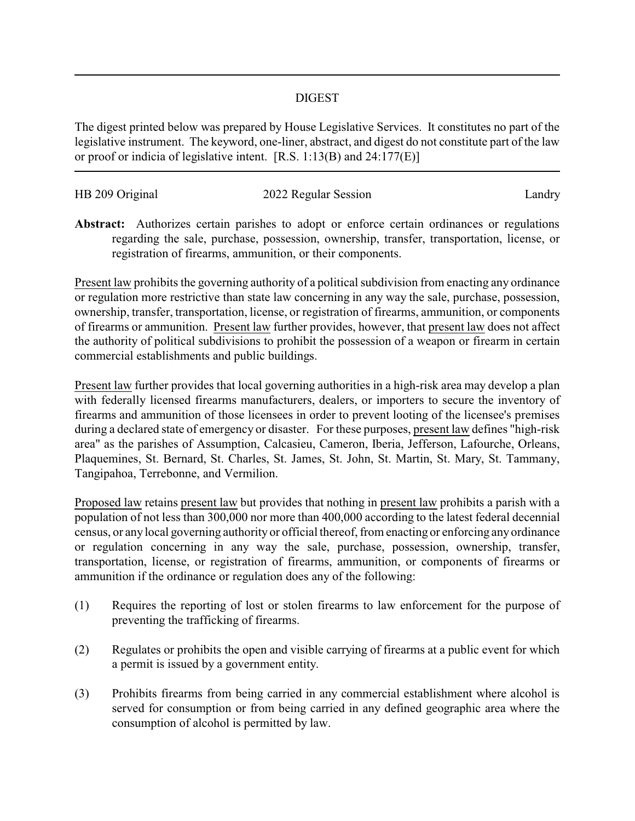## DIGEST

The digest printed below was prepared by House Legislative Services. It constitutes no part of the legislative instrument. The keyword, one-liner, abstract, and digest do not constitute part of the law or proof or indicia of legislative intent. [R.S. 1:13(B) and 24:177(E)]

| HB 209 Original | 2022 Regular Session | Landry |
|-----------------|----------------------|--------|
|                 |                      |        |
|                 |                      |        |

**Abstract:** Authorizes certain parishes to adopt or enforce certain ordinances or regulations regarding the sale, purchase, possession, ownership, transfer, transportation, license, or registration of firearms, ammunition, or their components.

Present law prohibits the governing authority of a political subdivision from enacting any ordinance or regulation more restrictive than state law concerning in any way the sale, purchase, possession, ownership, transfer, transportation, license, or registration of firearms, ammunition, or components of firearms or ammunition. Present law further provides, however, that present law does not affect the authority of political subdivisions to prohibit the possession of a weapon or firearm in certain commercial establishments and public buildings.

Present law further provides that local governing authorities in a high-risk area may develop a plan with federally licensed firearms manufacturers, dealers, or importers to secure the inventory of firearms and ammunition of those licensees in order to prevent looting of the licensee's premises during a declared state of emergency or disaster. For these purposes, present law defines "high-risk area" as the parishes of Assumption, Calcasieu, Cameron, Iberia, Jefferson, Lafourche, Orleans, Plaquemines, St. Bernard, St. Charles, St. James, St. John, St. Martin, St. Mary, St. Tammany, Tangipahoa, Terrebonne, and Vermilion.

Proposed law retains present law but provides that nothing in present law prohibits a parish with a population of not less than 300,000 nor more than 400,000 according to the latest federal decennial census, or any local governing authority or official thereof, from enacting or enforcing any ordinance or regulation concerning in any way the sale, purchase, possession, ownership, transfer, transportation, license, or registration of firearms, ammunition, or components of firearms or ammunition if the ordinance or regulation does any of the following:

- (1) Requires the reporting of lost or stolen firearms to law enforcement for the purpose of preventing the trafficking of firearms.
- (2) Regulates or prohibits the open and visible carrying of firearms at a public event for which a permit is issued by a government entity.
- (3) Prohibits firearms from being carried in any commercial establishment where alcohol is served for consumption or from being carried in any defined geographic area where the consumption of alcohol is permitted by law.